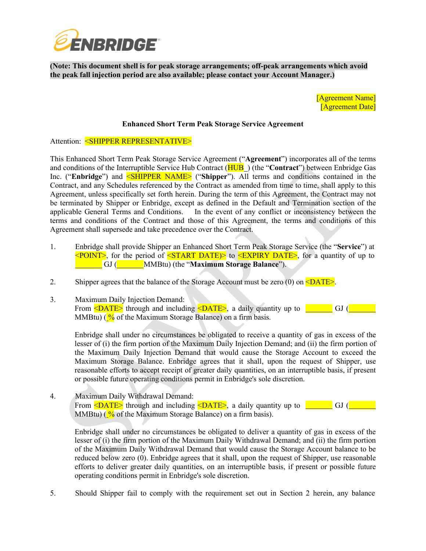

**(Note: This document shell is for peak storage arrangements; off-peak arrangements which avoid the peak fall injection period are also available; please contact your Account Manager.)**

> [Agreement Name] [Agreement Date]

## **Enhanced Short Term Peak Storage Service Agreement**

Attention: <SHIPPER REPRESENTATIVE>

This Enhanced Short Term Peak Storage Service Agreement ("**Agreement**") incorporates all of the terms and conditions of the Interruptible Service Hub Contract (HUB ) (the "**Contract**") between Enbridge Gas Inc. ("Enbridge") and **<SHIPPER NAME>** ("Shipper"). All terms and conditions contained in the Contract, and any Schedules referenced by the Contract as amended from time to time, shall apply to this Agreement, unless specifically set forth herein. During the term of this Agreement, the Contract may not be terminated by Shipper or Enbridge, except as defined in the Default and Termination section of the applicable General Terms and Conditions. In the event of any conflict or inconsistency between the terms and conditions of the Contract and those of this Agreement, the terms and conditions of this Agreement shall supersede and take precedence over the Contract.

- 1. Enbridge shall provide Shipper an Enhanced Short Term Peak Storage Service (the "**Service**") at  $\leq$ POINT>, for the period of  $\leq$ START DATE $>$  to  $\leq$ EXPIRY DATE>, for a quantity of up to GJ ( MMBtu) (the "**Maximum Storage Balance**").
- 2. Shipper agrees that the balance of the Storage Account must be zero  $(0)$  on  $\leq$ DATE $\geq$ .
- 3. Maximum Daily Injection Demand: From <DATE> through and including <DATE>, a daily quantity up to \_\_\_\_\_\_ GJ ( MMBtu) ( $\frac{9}{6}$  of the Maximum Storage Balance) on a firm basis.

Enbridge shall under no circumstances be obligated to receive a quantity of gas in excess of the lesser of (i) the firm portion of the Maximum Daily Injection Demand; and (ii) the firm portion of the Maximum Daily Injection Demand that would cause the Storage Account to exceed the Maximum Storage Balance. Enbridge agrees that it shall, upon the request of Shipper, use reasonable efforts to accept receipt of greater daily quantities, on an interruptible basis, if present or possible future operating conditions permit in Enbridge's sole discretion.

4. Maximum Daily Withdrawal Demand: From <DATE> through and including <DATE>, a daily quantity up to <u>second and GU</u> ( MMBtu) ( $\frac{9}{6}$  of the Maximum Storage Balance) on a firm basis).

Enbridge shall under no circumstances be obligated to deliver a quantity of gas in excess of the lesser of (i) the firm portion of the Maximum Daily Withdrawal Demand; and (ii) the firm portion of the Maximum Daily Withdrawal Demand that would cause the Storage Account balance to be reduced below zero (0). Enbridge agrees that it shall, upon the request of Shipper, use reasonable efforts to deliver greater daily quantities, on an interruptible basis, if present or possible future operating conditions permit in Enbridge's sole discretion.

5. Should Shipper fail to comply with the requirement set out in Section 2 herein, any balance